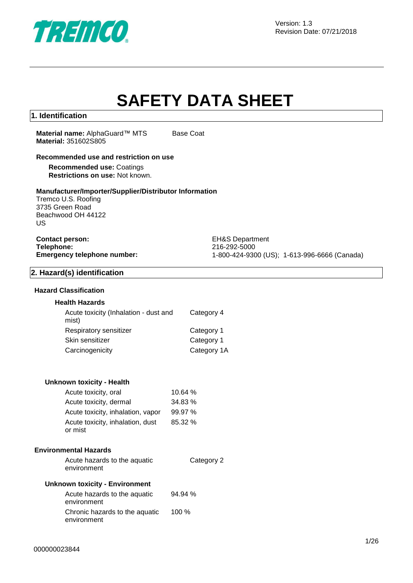

## **SAFETY DATA SHEET**

#### **1. Identification**

**Material name: AlphaGuard™ MTS Base Coat Material:** 351602S805

#### **Recommended use and restriction on use**

**Recommended use:** Coatings **Restrictions on use:** Not known.

#### **Manufacturer/Importer/Supplier/Distributor Information**

Tremco U.S. Roofing 3735 Green Road Beachwood OH 44122 US

### **Contact person:** EH&S Department **Telephone:** 216-292-5000<br> **Emergency telephone number:** 216-292-5000<br>
21-800-424-930

**Emergency telephone number:** 1-800-424-9300 (US); 1-613-996-6666 (Canada)

#### **2. Hazard(s) identification**

#### **Hazard Classification**

#### **Health Hazards**

| Acute toxicity (Inhalation - dust and<br>mist) | Category 4  |
|------------------------------------------------|-------------|
| Respiratory sensitizer                         | Category 1  |
| Skin sensitizer                                | Category 1  |
| Carcinogenicity                                | Category 1A |

#### **Unknown toxicity - Health**

| Acute toxicity, oral                        | 10.64%  |
|---------------------------------------------|---------|
| Acute toxicity, dermal                      | 34.83 % |
| Acute toxicity, inhalation, vapor           | 99.97%  |
| Acute toxicity, inhalation, dust<br>or mist | 85.32%  |

#### **Environmental Hazards**

| Acute hazards to the aquatic | Category 2 |
|------------------------------|------------|
| environment                  |            |

#### **Unknown toxicity - Environment**

| Acute hazards to the aquatic<br>environment   | 94.94% |
|-----------------------------------------------|--------|
| Chronic hazards to the aquatic<br>environment | 100%   |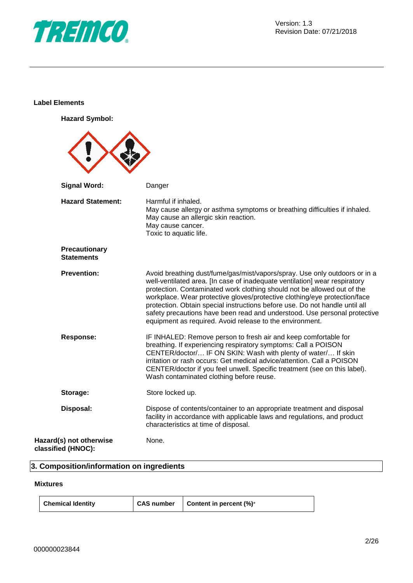

#### **Label Elements**

**Hazard Symbol:**

| <b>Signal Word:</b>                           | Danger                                                                                                                                                                                                                                                                                                                                                                                                                                                                                                                                   |
|-----------------------------------------------|------------------------------------------------------------------------------------------------------------------------------------------------------------------------------------------------------------------------------------------------------------------------------------------------------------------------------------------------------------------------------------------------------------------------------------------------------------------------------------------------------------------------------------------|
| <b>Hazard Statement:</b>                      | Harmful if inhaled.<br>May cause allergy or asthma symptoms or breathing difficulties if inhaled.<br>May cause an allergic skin reaction.<br>May cause cancer.<br>Toxic to aquatic life.                                                                                                                                                                                                                                                                                                                                                 |
| Precautionary<br><b>Statements</b>            |                                                                                                                                                                                                                                                                                                                                                                                                                                                                                                                                          |
| <b>Prevention:</b>                            | Avoid breathing dust/fume/gas/mist/vapors/spray. Use only outdoors or in a<br>well-ventilated area. [In case of inadequate ventilation] wear respiratory<br>protection. Contaminated work clothing should not be allowed out of the<br>workplace. Wear protective gloves/protective clothing/eye protection/face<br>protection. Obtain special instructions before use. Do not handle until all<br>safety precautions have been read and understood. Use personal protective<br>equipment as required. Avoid release to the environment. |
| <b>Response:</b>                              | IF INHALED: Remove person to fresh air and keep comfortable for<br>breathing. If experiencing respiratory symptoms: Call a POISON<br>CENTER/doctor/ IF ON SKIN: Wash with plenty of water/ If skin<br>irritation or rash occurs: Get medical advice/attention. Call a POISON<br>CENTER/doctor if you feel unwell. Specific treatment (see on this label).<br>Wash contaminated clothing before reuse.                                                                                                                                    |
| Storage:                                      | Store locked up.                                                                                                                                                                                                                                                                                                                                                                                                                                                                                                                         |
| Disposal:                                     | Dispose of contents/container to an appropriate treatment and disposal<br>facility in accordance with applicable laws and regulations, and product<br>characteristics at time of disposal.                                                                                                                                                                                                                                                                                                                                               |
| Hazard(s) not otherwise<br>classified (HNOC): | None.                                                                                                                                                                                                                                                                                                                                                                                                                                                                                                                                    |

#### **3. Composition/information on ingredients**

#### **Mixtures**

| <b>Chemical Identity</b> |  | CAS number   Content in percent (%)* |
|--------------------------|--|--------------------------------------|
|--------------------------|--|--------------------------------------|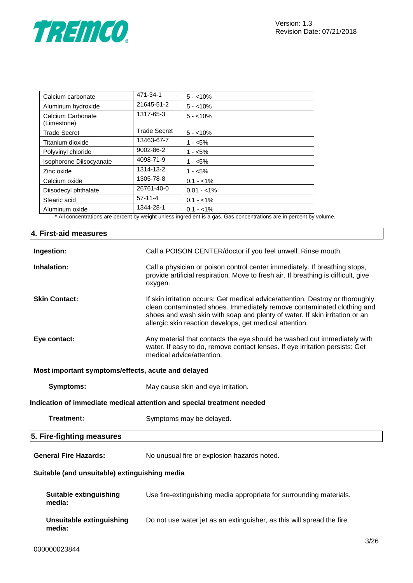

| Calcium carbonate                | 471-34-1            | $5 - 10%$                                                                                                                             |
|----------------------------------|---------------------|---------------------------------------------------------------------------------------------------------------------------------------|
| Aluminum hydroxide               | 21645-51-2          | $5 - 10\%$                                                                                                                            |
| Calcium Carbonate<br>(Limestone) | 1317-65-3           | $5 - 10\%$                                                                                                                            |
| <b>Trade Secret</b>              | <b>Trade Secret</b> | $5 - 10\%$                                                                                                                            |
| Titanium dioxide                 | 13463-67-7          | $1 - 5\%$                                                                                                                             |
| Polyvinyl chloride               | 9002-86-2           | $1 - 5\%$                                                                                                                             |
| Isophorone Diisocyanate          | 4098-71-9           | $1 - 5\%$                                                                                                                             |
| Zinc oxide                       | 1314-13-2           | $1 - 5\%$                                                                                                                             |
| Calcium oxide                    | 1305-78-8           | $0.1 - 1\%$                                                                                                                           |
| Diisodecyl phthalate             | 26761-40-0          | $0.01 - 1\%$                                                                                                                          |
| Stearic acid                     | $57-11-4$           | $0.1 - 1\%$                                                                                                                           |
| Aluminum oxide                   | 1344-28-1           | $0.1 - 1\%$<br>* All experimentary and process becoming the college to specificat to a power Oak proposational and to process because |

\* All concentrations are percent by weight unless ingredient is a gas. Gas concentrations are in percent by volume.

| 4. First-aid measures                              |                                                                                                                                                                                                                                                                                                    |  |  |
|----------------------------------------------------|----------------------------------------------------------------------------------------------------------------------------------------------------------------------------------------------------------------------------------------------------------------------------------------------------|--|--|
| Ingestion:                                         | Call a POISON CENTER/doctor if you feel unwell. Rinse mouth.                                                                                                                                                                                                                                       |  |  |
| Inhalation:                                        | Call a physician or poison control center immediately. If breathing stops,<br>provide artificial respiration. Move to fresh air. If breathing is difficult, give<br>oxygen.                                                                                                                        |  |  |
| <b>Skin Contact:</b>                               | If skin irritation occurs: Get medical advice/attention. Destroy or thoroughly<br>clean contaminated shoes. Immediately remove contaminated clothing and<br>shoes and wash skin with soap and plenty of water. If skin irritation or an<br>allergic skin reaction develops, get medical attention. |  |  |
| Eye contact:                                       | Any material that contacts the eye should be washed out immediately with<br>water. If easy to do, remove contact lenses. If eye irritation persists: Get<br>medical advice/attention.                                                                                                              |  |  |
| Most important symptoms/effects, acute and delayed |                                                                                                                                                                                                                                                                                                    |  |  |
| <b>Symptoms:</b>                                   | May cause skin and eye irritation.                                                                                                                                                                                                                                                                 |  |  |
|                                                    | Indication of immediate medical attention and special treatment needed                                                                                                                                                                                                                             |  |  |
| <b>Treatment:</b>                                  | Symptoms may be delayed.                                                                                                                                                                                                                                                                           |  |  |
| 5. Fire-fighting measures                          |                                                                                                                                                                                                                                                                                                    |  |  |
| <b>General Fire Hazards:</b>                       | No unusual fire or explosion hazards noted.                                                                                                                                                                                                                                                        |  |  |
| Suitable (and unsuitable) extinguishing media      |                                                                                                                                                                                                                                                                                                    |  |  |
| <b>Suitable extinguishing</b><br>media:            | Use fire-extinguishing media appropriate for surrounding materials.                                                                                                                                                                                                                                |  |  |
| <b>Unsuitable extinguishing</b><br>media:          | Do not use water jet as an extinguisher, as this will spread the fire.                                                                                                                                                                                                                             |  |  |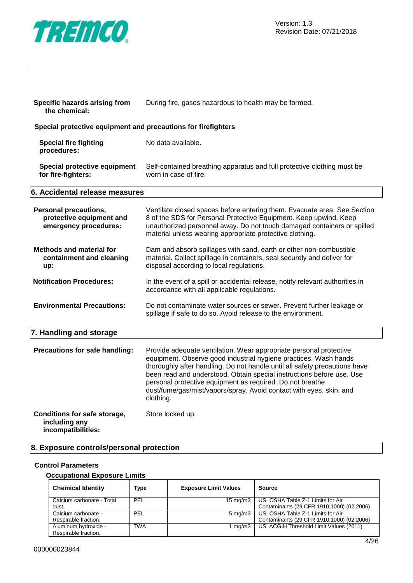

| Specific hazards arising from<br>the chemical:                                    | During fire, gases hazardous to health may be formed.                                                                                                                                                                                                                                                                                                                                                                                          |  |  |  |
|-----------------------------------------------------------------------------------|------------------------------------------------------------------------------------------------------------------------------------------------------------------------------------------------------------------------------------------------------------------------------------------------------------------------------------------------------------------------------------------------------------------------------------------------|--|--|--|
| Special protective equipment and precautions for firefighters                     |                                                                                                                                                                                                                                                                                                                                                                                                                                                |  |  |  |
| <b>Special fire fighting</b><br>procedures:                                       | No data available.                                                                                                                                                                                                                                                                                                                                                                                                                             |  |  |  |
| Special protective equipment<br>for fire-fighters:                                | Self-contained breathing apparatus and full protective clothing must be<br>worn in case of fire.                                                                                                                                                                                                                                                                                                                                               |  |  |  |
| 6. Accidental release measures                                                    |                                                                                                                                                                                                                                                                                                                                                                                                                                                |  |  |  |
| <b>Personal precautions,</b><br>protective equipment and<br>emergency procedures: | Ventilate closed spaces before entering them. Evacuate area. See Section<br>8 of the SDS for Personal Protective Equipment. Keep upwind. Keep<br>unauthorized personnel away. Do not touch damaged containers or spilled<br>material unless wearing appropriate protective clothing.                                                                                                                                                           |  |  |  |
| <b>Methods and material for</b><br>containment and cleaning<br>up:                | Dam and absorb spillages with sand, earth or other non-combustible<br>material. Collect spillage in containers, seal securely and deliver for<br>disposal according to local regulations.                                                                                                                                                                                                                                                      |  |  |  |
| <b>Notification Procedures:</b>                                                   | In the event of a spill or accidental release, notify relevant authorities in<br>accordance with all applicable regulations.                                                                                                                                                                                                                                                                                                                   |  |  |  |
| <b>Environmental Precautions:</b>                                                 | Do not contaminate water sources or sewer. Prevent further leakage or<br>spillage if safe to do so. Avoid release to the environment.                                                                                                                                                                                                                                                                                                          |  |  |  |
| 7. Handling and storage                                                           |                                                                                                                                                                                                                                                                                                                                                                                                                                                |  |  |  |
| Precautions for safe handling:                                                    | Provide adequate ventilation. Wear appropriate personal protective<br>equipment. Observe good industrial hygiene practices. Wash hands<br>thoroughly after handling. Do not handle until all safety precautions have<br>been read and understood. Obtain special instructions before use. Use<br>personal protective equipment as required. Do not breathe<br>dust/fume/gas/mist/vapors/spray. Avoid contact with eyes, skin, and<br>clothing. |  |  |  |
| Conditions for safe storage,<br>including any<br>incompatibilities:               | Store locked up.                                                                                                                                                                                                                                                                                                                                                                                                                               |  |  |  |

## **8. Exposure controls/personal protection**

#### **Control Parameters**

#### **Occupational Exposure Limits**

| <b>Chemical Identity</b>  | Type       | <b>Exposure Limit Values</b> | <b>Source</b>                             |
|---------------------------|------------|------------------------------|-------------------------------------------|
| Calcium carbonate - Total | PEL        | 15 mg/m $3$                  | US. OSHA Table Z-1 Limits for Air         |
| dust.                     |            |                              | Contaminants (29 CFR 1910.1000) (02 2006) |
| Calcium carbonate -       | PEL        | $5 \text{ mg/m}$             | US. OSHA Table Z-1 Limits for Air         |
| Respirable fraction.      |            |                              | Contaminants (29 CFR 1910.1000) (02 2006) |
| Aluminum hydroxide -      | <b>TWA</b> | 1 ma/m3                      | US. ACGIH Threshold Limit Values (2011)   |
| Respirable fraction.      |            |                              |                                           |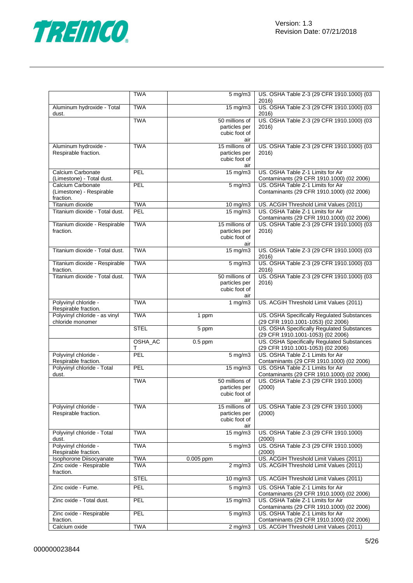

|                                                    | <b>TWA</b>   | $5 \text{ mg/m}$               | US. OSHA Table Z-3 (29 CFR 1910.1000) (03                                            |
|----------------------------------------------------|--------------|--------------------------------|--------------------------------------------------------------------------------------|
| Aluminum hydroxide - Total<br>dust.                | <b>TWA</b>   | $15 \text{ mg/m}$              | 2016)<br>US. OSHA Table Z-3 (29 CFR 1910.1000) (03<br>2016)                          |
|                                                    | <b>TWA</b>   | 50 millions of                 | US. OSHA Table Z-3 (29 CFR 1910.1000) (03                                            |
|                                                    |              | particles per<br>cubic foot of | 2016)                                                                                |
| Aluminum hydroxide -                               | <b>TWA</b>   | air<br>15 millions of          | US. OSHA Table Z-3 (29 CFR 1910.1000) (03                                            |
| Respirable fraction.                               |              | particles per                  | 2016)                                                                                |
|                                                    |              | cubic foot of<br>air           |                                                                                      |
| Calcium Carbonate<br>(Limestone) - Total dust.     | PEL          | 15 mg/m3                       | US. OSHA Table Z-1 Limits for Air<br>Contaminants (29 CFR 1910.1000) (02 2006)       |
| Calcium Carbonate                                  | PEL          | $5 \overline{\mathrm{mg}}$ m3  | US. OSHA Table Z-1 Limits for Air                                                    |
| (Limestone) - Respirable<br>fraction.              |              |                                | Contaminants (29 CFR 1910.1000) (02 2006)                                            |
| Titanium dioxide                                   | <b>TWA</b>   | 10 mg/m3                       | US. ACGIH Threshold Limit Values (2011)                                              |
| Titanium dioxide - Total dust.                     | PEL          | 15 mg/m3                       | US. OSHA Table Z-1 Limits for Air<br>Contaminants (29 CFR 1910.1000) (02 2006)       |
| Titanium dioxide - Respirable                      | <b>TWA</b>   | 15 millions of                 | US. OSHA Table Z-3 (29 CFR 1910.1000) (03                                            |
| fraction.                                          |              | particles per<br>cubic foot of | 2016)                                                                                |
|                                                    |              | air                            |                                                                                      |
| Titanium dioxide - Total dust.                     | <b>TWA</b>   | 15 mg/m3                       | US. OSHA Table Z-3 (29 CFR 1910.1000) (03<br>2016)                                   |
| Titanium dioxide - Respirable<br>fraction.         | <b>TWA</b>   | $5 \text{ mg/m}$               | US. OSHA Table Z-3 (29 CFR 1910.1000) (03<br>2016)                                   |
| Titanium dioxide - Total dust.                     | <b>TWA</b>   | 50 millions of                 | US. OSHA Table Z-3 (29 CFR 1910.1000) (03<br>2016)                                   |
|                                                    |              | particles per<br>cubic foot of |                                                                                      |
| Polyvinyl chloride -                               | <b>TWA</b>   | air<br>1 $mg/m3$               | US. ACGIH Threshold Limit Values (2011)                                              |
| Respirable fraction.                               |              |                                |                                                                                      |
| Polyvinyl chloride - as vinyl<br>chloride monomer  | <b>TWA</b>   | 1 ppm                          | US. OSHA Specifically Regulated Substances<br>(29 CFR 1910.1001-1053) (02 2006)      |
|                                                    | <b>STEL</b>  | 5 ppm                          | US. OSHA Specifically Regulated Substances<br>(29 CFR 1910.1001-1053) (02 2006)      |
|                                                    | OSHA_AC<br>т | $0.5$ ppm                      | US. OSHA Specifically Regulated Substances<br>(29 CFR 1910.1001-1053) (02 2006)      |
| Polyvinyl chloride -                               | PEL          | $\overline{5}$ mg/m3           | US. OSHA Table Z-1 Limits for Air                                                    |
| Respirable fraction.<br>Polyvinyl chloride - Total | PEL          | $15 \text{ mg/m}$              | Contaminants (29 CFR 1910.1000) (02 2006)<br>US. OSHA Table Z-1 Limits for Air       |
| dust.                                              |              |                                | Contaminants (29 CFR 1910.1000) (02 2006)                                            |
|                                                    | <b>TWA</b>   | 50 millions of                 | US. OSHA Table Z-3 (29 CFR 1910.1000)                                                |
|                                                    |              | particles per<br>cubic foot of | (2000)                                                                               |
|                                                    |              | air                            |                                                                                      |
| Polyvinyl chloride -                               | <b>TWA</b>   | 15 millions of                 | US. OSHA Table Z-3 (29 CFR 1910.1000)                                                |
| Respirable fraction.                               |              | particles per<br>cubic foot of | (2000)                                                                               |
|                                                    |              | air                            |                                                                                      |
| Polyvinyl chloride - Total<br>dust.                | <b>TWA</b>   | $15 \text{ mg/m}$              | US. OSHA Table Z-3 (29 CFR 1910.1000)<br>(2000)                                      |
| Polyvinyl chloride -<br>Respirable fraction.       | <b>TWA</b>   | $5$ mg/m $3$                   | US. OSHA Table Z-3 (29 CFR 1910.1000)<br>(2000)                                      |
| Isophorone Diisocyanate                            | <b>TWA</b>   | $0.005$ ppm                    | US. ACGIH Threshold Limit Values (2011)                                              |
| Zinc oxide - Respirable                            | <b>TWA</b>   | $2$ mg/m $3$                   | US. ACGIH Threshold Limit Values (2011)                                              |
| fraction.                                          | <b>STEL</b>  | $10$ mg/m $3$                  | US. ACGIH Threshold Limit Values (2011)                                              |
| Zinc oxide - Fume.                                 | <b>PEL</b>   | $\frac{1}{5}$ mg/m3            | US. OSHA Table Z-1 Limits for Air<br>Contaminants (29 CFR 1910.1000) (02 2006)       |
| Zinc oxide - Total dust.                           | PEL          | $15 \text{ mg/m}$              | US. OSHA Table Z-1 Limits for Air<br>Contaminants (29 CFR 1910.1000) (02 2006)       |
| Zinc oxide - Respirable                            | PEL          | $5 \overline{\mathrm{mg}}$ m3  | US. OSHA Table Z-1 Limits for Air                                                    |
| fraction.<br>Calcium oxide                         | <b>TWA</b>   |                                | Contaminants (29 CFR 1910.1000) (02 2006)<br>US. ACGIH Threshold Limit Values (2011) |
|                                                    |              | $2$ mg/m $3$                   |                                                                                      |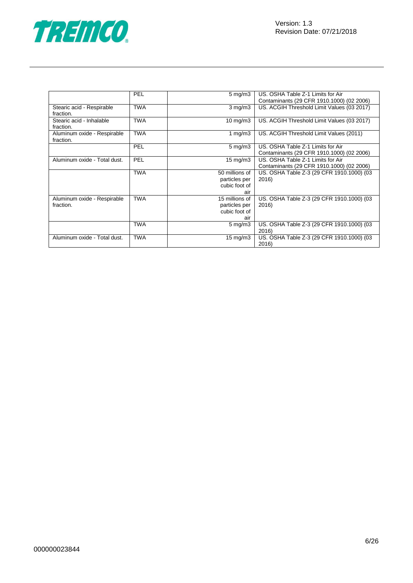



|                              | PEL        | $5 \text{ mg/m}$ 3 | US. OSHA Table Z-1 Limits for Air          |
|------------------------------|------------|--------------------|--------------------------------------------|
|                              |            |                    | Contaminants (29 CFR 1910.1000) (02 2006)  |
| Stearic acid - Respirable    | <b>TWA</b> | $3$ mg/m $3$       | US. ACGIH Threshold Limit Values (03 2017) |
| fraction.                    |            |                    |                                            |
| Stearic acid - Inhalable     | <b>TWA</b> | $10$ mg/m $3$      | US. ACGIH Threshold Limit Values (03 2017) |
| fraction.                    |            |                    |                                            |
| Aluminum oxide - Respirable  | <b>TWA</b> | 1 $mg/m3$          | US. ACGIH Threshold Limit Values (2011)    |
| fraction.                    |            |                    |                                            |
|                              | PEL        | $5 \text{ mg/m}$   | US. OSHA Table Z-1 Limits for Air          |
|                              |            |                    | Contaminants (29 CFR 1910.1000) (02 2006)  |
| Aluminum oxide - Total dust. | <b>PEL</b> | $15 \text{ mg/m}$  | US. OSHA Table Z-1 Limits for Air          |
|                              |            |                    | Contaminants (29 CFR 1910.1000) (02 2006)  |
|                              | <b>TWA</b> | 50 millions of     | US. OSHA Table Z-3 (29 CFR 1910.1000) (03  |
|                              |            | particles per      | 2016)                                      |
|                              |            | cubic foot of      |                                            |
|                              |            | air                |                                            |
| Aluminum oxide - Respirable  | <b>TWA</b> | 15 millions of     | US. OSHA Table Z-3 (29 CFR 1910.1000) (03  |
| fraction.                    |            | particles per      | 2016)                                      |
|                              |            | cubic foot of      |                                            |
|                              |            | air                |                                            |
|                              | <b>TWA</b> | $5 \text{ mg/m}$ 3 | US. OSHA Table Z-3 (29 CFR 1910.1000) (03  |
|                              |            |                    | 2016)                                      |
| Aluminum oxide - Total dust. | <b>TWA</b> | $15 \text{ mg/m}$  | US. OSHA Table Z-3 (29 CFR 1910.1000) (03  |
|                              |            |                    | 2016)                                      |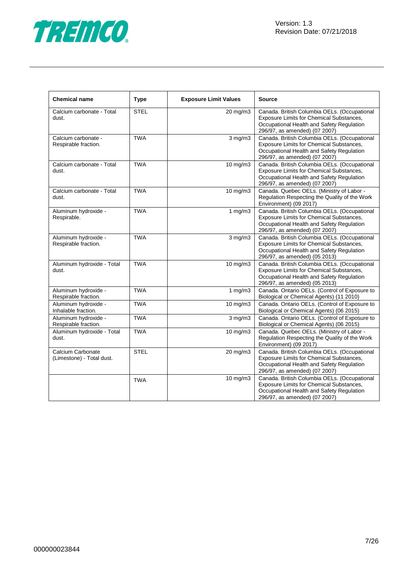

| <b>Chemical name</b>                           | <b>Type</b> | <b>Exposure Limit Values</b> | <b>Source</b>                                                                                                                                                          |
|------------------------------------------------|-------------|------------------------------|------------------------------------------------------------------------------------------------------------------------------------------------------------------------|
| Calcium carbonate - Total<br>dust.             | <b>STEL</b> | 20 mg/m3                     | Canada. British Columbia OELs. (Occupational<br>Exposure Limits for Chemical Substances,<br>Occupational Health and Safety Regulation<br>296/97, as amended) (07 2007) |
| Calcium carbonate -<br>Respirable fraction.    | <b>TWA</b>  | $3$ mg/m $3$                 | Canada. British Columbia OELs. (Occupational<br>Exposure Limits for Chemical Substances,<br>Occupational Health and Safety Regulation<br>296/97, as amended) (07 2007) |
| Calcium carbonate - Total<br>dust.             | <b>TWA</b>  | $10 \text{ mg/m}$            | Canada. British Columbia OELs. (Occupational<br>Exposure Limits for Chemical Substances,<br>Occupational Health and Safety Regulation<br>296/97, as amended) (07 2007) |
| Calcium carbonate - Total<br>dust.             | <b>TWA</b>  | 10 mg/m3                     | Canada. Quebec OELs. (Ministry of Labor -<br>Regulation Respecting the Quality of the Work<br>Environment) (09 2017)                                                   |
| Aluminum hydroxide -<br>Respirable.            | <b>TWA</b>  | 1 $mg/m3$                    | Canada. British Columbia OELs. (Occupational<br>Exposure Limits for Chemical Substances,<br>Occupational Health and Safety Regulation<br>296/97, as amended) (07 2007) |
| Aluminum hydroxide -<br>Respirable fraction.   | <b>TWA</b>  | $3$ mg/m $3$                 | Canada. British Columbia OELs. (Occupational<br>Exposure Limits for Chemical Substances,<br>Occupational Health and Safety Regulation<br>296/97, as amended) (05 2013) |
| Aluminum hydroxide - Total<br>dust.            | <b>TWA</b>  | 10 mg/m3                     | Canada. British Columbia OELs. (Occupational<br>Exposure Limits for Chemical Substances,<br>Occupational Health and Safety Regulation<br>296/97, as amended) (05 2013) |
| Aluminum hydroxide -<br>Respirable fraction.   | <b>TWA</b>  | 1 $mg/m3$                    | Canada. Ontario OELs. (Control of Exposure to<br>Biological or Chemical Agents) (11 2010)                                                                              |
| Aluminum hydroxide -<br>Inhalable fraction.    | <b>TWA</b>  | 10 mg/m3                     | Canada. Ontario OELs. (Control of Exposure to<br>Biological or Chemical Agents) (06 2015)                                                                              |
| Aluminum hydroxide -<br>Respirable fraction.   | <b>TWA</b>  | $3$ mg/m $3$                 | Canada. Ontario OELs. (Control of Exposure to<br>Biological or Chemical Agents) (06 2015)                                                                              |
| Aluminum hydroxide - Total<br>dust.            | <b>TWA</b>  | 10 mg/m3                     | Canada. Quebec OELs. (Ministry of Labor -<br>Regulation Respecting the Quality of the Work<br>Environment) (09 2017)                                                   |
| Calcium Carbonate<br>(Limestone) - Total dust. | <b>STEL</b> | $20 \text{ mg/m}$ 3          | Canada. British Columbia OELs. (Occupational<br>Exposure Limits for Chemical Substances,<br>Occupational Health and Safety Regulation<br>296/97, as amended) (07 2007) |
|                                                | <b>TWA</b>  | 10 mg/m3                     | Canada. British Columbia OELs. (Occupational<br>Exposure Limits for Chemical Substances,<br>Occupational Health and Safety Regulation<br>296/97, as amended) (07 2007) |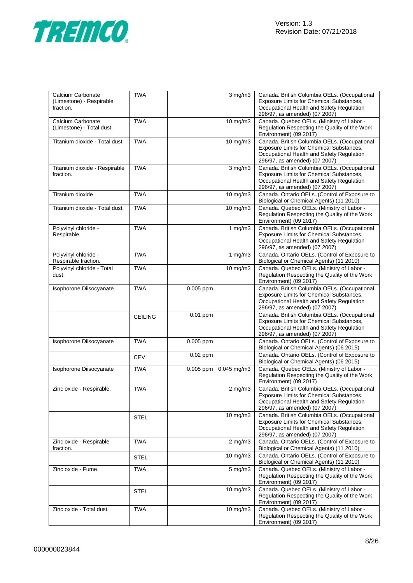

| Calcium Carbonate<br>(Limestone) - Respirable<br>fraction. | <b>TWA</b>     | $3$ mg/m $3$              | Canada. British Columbia OELs. (Occupational<br>Exposure Limits for Chemical Substances,<br>Occupational Health and Safety Regulation<br>296/97, as amended) (07 2007) |
|------------------------------------------------------------|----------------|---------------------------|------------------------------------------------------------------------------------------------------------------------------------------------------------------------|
| Calcium Carbonate<br>(Limestone) - Total dust.             | <b>TWA</b>     | 10 mg/m3                  | Canada. Quebec OELs. (Ministry of Labor -<br>Regulation Respecting the Quality of the Work<br>Environment) (09 2017)                                                   |
| Titanium dioxide - Total dust.                             | <b>TWA</b>     | $10 \text{ mg/m}$         | Canada. British Columbia OELs. (Occupational<br>Exposure Limits for Chemical Substances,<br>Occupational Health and Safety Regulation<br>296/97, as amended) (07 2007) |
| Titanium dioxide - Respirable<br>fraction.                 | <b>TWA</b>     | $3$ mg/m $3$              | Canada. British Columbia OELs. (Occupational<br>Exposure Limits for Chemical Substances,<br>Occupational Health and Safety Regulation<br>296/97, as amended) (07 2007) |
| Titanium dioxide                                           | <b>TWA</b>     | 10 mg/m3                  | Canada. Ontario OELs. (Control of Exposure to<br>Biological or Chemical Agents) (11 2010)                                                                              |
| Titanium dioxide - Total dust.                             | <b>TWA</b>     | $10$ mg/m $3$             | Canada. Quebec OELs. (Ministry of Labor -<br>Regulation Respecting the Quality of the Work<br>Environment) (09 2017)                                                   |
| Polyvinyl chloride -<br>Respirable.                        | <b>TWA</b>     | 1 $mg/m3$                 | Canada. British Columbia OELs. (Occupational<br>Exposure Limits for Chemical Substances,<br>Occupational Health and Safety Regulation<br>296/97, as amended) (07 2007) |
| Polyvinyl chloride -<br>Respirable fraction.               | <b>TWA</b>     | 1 $mg/m3$                 | Canada. Ontario OELs. (Control of Exposure to<br>Biological or Chemical Agents) (11 2010)                                                                              |
| Polyvinyl chloride - Total<br>dust.                        | <b>TWA</b>     | 10 mg/m3                  | Canada. Quebec OELs. (Ministry of Labor -<br>Regulation Respecting the Quality of the Work<br>Environment) (09 2017)                                                   |
| Isophorone Diisocyanate                                    | <b>TWA</b>     | $0.005$ ppm               | Canada. British Columbia OELs. (Occupational<br>Exposure Limits for Chemical Substances,<br>Occupational Health and Safety Regulation<br>296/97, as amended) (07 2007) |
|                                                            | <b>CEILING</b> | 0.01 ppm                  | Canada. British Columbia OELs. (Occupational<br>Exposure Limits for Chemical Substances,<br>Occupational Health and Safety Regulation<br>296/97, as amended) (07 2007) |
| Isophorone Diisocyanate                                    | <b>TWA</b>     | 0.005 ppm                 | Canada. Ontario OELs. (Control of Exposure to<br>Biological or Chemical Agents) (06 2015)                                                                              |
|                                                            | <b>CEV</b>     | 0.02 ppm                  | Canada. Ontario OELs. (Control of Exposure to<br>Biological or Chemical Agents) (06 2015)                                                                              |
| Isophorone Diisocyanate                                    | TWA            | $0.005$ ppm $0.045$ mg/m3 | Canada. Quebec OELs. (Ministry of Labor -<br>Regulation Respecting the Quality of the Work<br>Environment) (09 2017)                                                   |
| Zinc oxide - Respirable.                                   | <b>TWA</b>     | $2$ mg/m $3$              | Canada. British Columbia OELs. (Occupational<br>Exposure Limits for Chemical Substances,<br>Occupational Health and Safety Regulation<br>296/97, as amended) (07 2007) |
|                                                            | STEL           | $10$ mg/m $3$             | Canada. British Columbia OELs. (Occupational<br>Exposure Limits for Chemical Substances,<br>Occupational Health and Safety Regulation<br>296/97, as amended) (07 2007) |
| Zinc oxide - Respirable<br>fraction.                       | <b>TWA</b>     | $2$ mg/m $3$              | Canada. Ontario OELs. (Control of Exposure to<br>Biological or Chemical Agents) (11 2010)                                                                              |
|                                                            | <b>STEL</b>    | 10 mg/m3                  | Canada. Ontario OELs. (Control of Exposure to<br>Biological or Chemical Agents) (11 2010)                                                                              |
| Zinc oxide - Fume.                                         | <b>TWA</b>     | $5 \text{ mg/m}$          | Canada. Quebec OELs. (Ministry of Labor -<br>Regulation Respecting the Quality of the Work<br>Environment) (09 2017)                                                   |
|                                                            | <b>STEL</b>    | 10 mg/m3                  | Canada. Quebec OELs. (Ministry of Labor -<br>Regulation Respecting the Quality of the Work<br>Environment) (09 2017)                                                   |
| Zinc oxide - Total dust.                                   | <b>TWA</b>     | $10$ mg/m $3$             | Canada. Quebec OELs. (Ministry of Labor -<br>Regulation Respecting the Quality of the Work<br>Environment) (09 2017)                                                   |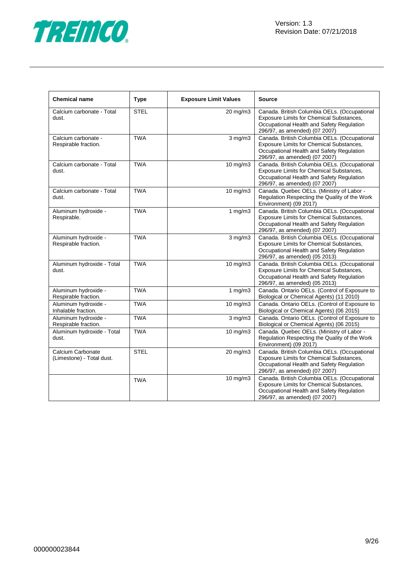

| <b>Chemical name</b>                           | <b>Type</b> | <b>Exposure Limit Values</b> | <b>Source</b>                                                                                                                                                          |
|------------------------------------------------|-------------|------------------------------|------------------------------------------------------------------------------------------------------------------------------------------------------------------------|
| Calcium carbonate - Total<br>dust.             | <b>STEL</b> | 20 mg/m3                     | Canada. British Columbia OELs. (Occupational<br>Exposure Limits for Chemical Substances,<br>Occupational Health and Safety Regulation<br>296/97, as amended) (07 2007) |
| Calcium carbonate -<br>Respirable fraction.    | <b>TWA</b>  | $3$ mg/m $3$                 | Canada. British Columbia OELs. (Occupational<br>Exposure Limits for Chemical Substances,<br>Occupational Health and Safety Regulation<br>296/97, as amended) (07 2007) |
| Calcium carbonate - Total<br>dust.             | <b>TWA</b>  | $\frac{1}{10}$ mg/m3         | Canada. British Columbia OELs. (Occupational<br>Exposure Limits for Chemical Substances,<br>Occupational Health and Safety Regulation<br>296/97, as amended) (07 2007) |
| Calcium carbonate - Total<br>dust.             | <b>TWA</b>  | 10 mg/m3                     | Canada. Quebec OELs. (Ministry of Labor -<br>Regulation Respecting the Quality of the Work<br>Environment) (09 2017)                                                   |
| Aluminum hydroxide -<br>Respirable.            | <b>TWA</b>  | 1 $mg/m3$                    | Canada. British Columbia OELs. (Occupational<br>Exposure Limits for Chemical Substances,<br>Occupational Health and Safety Regulation<br>296/97, as amended) (07 2007) |
| Aluminum hydroxide -<br>Respirable fraction.   | <b>TWA</b>  | $3$ mg/m $3$                 | Canada. British Columbia OELs. (Occupational<br>Exposure Limits for Chemical Substances,<br>Occupational Health and Safety Regulation<br>296/97, as amended) (05 2013) |
| Aluminum hydroxide - Total<br>dust.            | <b>TWA</b>  | $\frac{1}{10}$ mg/m3         | Canada. British Columbia OELs. (Occupational<br>Exposure Limits for Chemical Substances,<br>Occupational Health and Safety Regulation<br>296/97, as amended) (05 2013) |
| Aluminum hydroxide -<br>Respirable fraction.   | <b>TWA</b>  | 1 $mg/m3$                    | Canada. Ontario OELs. (Control of Exposure to<br>Biological or Chemical Agents) (11 2010)                                                                              |
| Aluminum hydroxide -<br>Inhalable fraction.    | <b>TWA</b>  | $\frac{1}{10}$ mg/m3         | Canada. Ontario OELs. (Control of Exposure to<br>Biological or Chemical Agents) (06 2015)                                                                              |
| Aluminum hydroxide -<br>Respirable fraction.   | <b>TWA</b>  | $3$ mg/m $3$                 | Canada. Ontario OELs. (Control of Exposure to<br>Biological or Chemical Agents) (06 2015)                                                                              |
| Aluminum hydroxide - Total<br>dust.            | <b>TWA</b>  | 10 mg/m3                     | Canada. Quebec OELs. (Ministry of Labor -<br>Regulation Respecting the Quality of the Work<br>Environment) (09 2017)                                                   |
| Calcium Carbonate<br>(Limestone) - Total dust. | <b>STEL</b> | 20 mg/m3                     | Canada. British Columbia OELs. (Occupational<br>Exposure Limits for Chemical Substances,<br>Occupational Health and Safety Regulation<br>296/97, as amended) (07 2007) |
|                                                | <b>TWA</b>  | 10 mg/m3                     | Canada. British Columbia OELs. (Occupational<br>Exposure Limits for Chemical Substances,<br>Occupational Health and Safety Regulation<br>296/97, as amended) (07 2007) |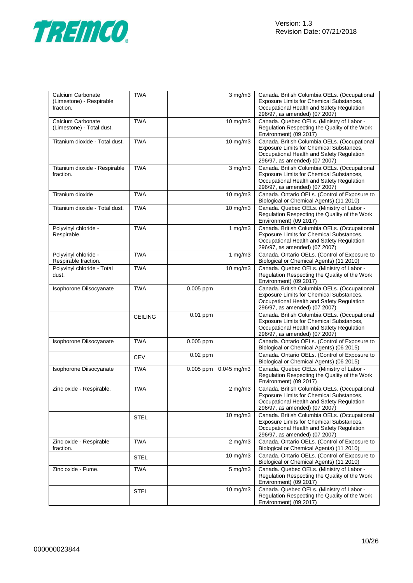

| Calcium Carbonate<br>(Limestone) - Respirable<br>fraction. | <b>TWA</b>     | $3$ mg/m $3$           | Canada. British Columbia OELs. (Occupational<br>Exposure Limits for Chemical Substances,<br>Occupational Health and Safety Regulation<br>296/97, as amended) (07 2007) |
|------------------------------------------------------------|----------------|------------------------|------------------------------------------------------------------------------------------------------------------------------------------------------------------------|
| Calcium Carbonate<br>(Limestone) - Total dust.             | <b>TWA</b>     | 10 mg/m3               | Canada. Quebec OELs. (Ministry of Labor -<br>Regulation Respecting the Quality of the Work<br>Environment) (09 2017)                                                   |
| Titanium dioxide - Total dust.                             | <b>TWA</b>     | $10$ mg/m $3$          | Canada. British Columbia OELs. (Occupational<br>Exposure Limits for Chemical Substances,<br>Occupational Health and Safety Regulation<br>296/97, as amended) (07 2007) |
| Titanium dioxide - Respirable<br>fraction.                 | <b>TWA</b>     | $3$ mg/m $3$           | Canada. British Columbia OELs. (Occupational<br>Exposure Limits for Chemical Substances,<br>Occupational Health and Safety Regulation<br>296/97, as amended) (07 2007) |
| Titanium dioxide                                           | <b>TWA</b>     | 10 mg/m3               | Canada. Ontario OELs. (Control of Exposure to<br>Biological or Chemical Agents) (11 2010)                                                                              |
| Titanium dioxide - Total dust.                             | <b>TWA</b>     | $10 \text{ mg/m}$      | Canada. Quebec OELs. (Ministry of Labor -<br>Regulation Respecting the Quality of the Work<br>Environment) (09 2017)                                                   |
| Polyvinyl chloride -<br>Respirable.                        | <b>TWA</b>     | 1 $mg/m3$              | Canada. British Columbia OELs. (Occupational<br>Exposure Limits for Chemical Substances,<br>Occupational Health and Safety Regulation<br>296/97, as amended) (07 2007) |
| Polyvinyl chloride -<br>Respirable fraction.               | <b>TWA</b>     | 1 $mg/m3$              | Canada. Ontario OELs. (Control of Exposure to<br>Biological or Chemical Agents) (11 2010)                                                                              |
| Polyvinyl chloride - Total<br>dust.                        | <b>TWA</b>     | 10 mg/m3               | Canada. Quebec OELs. (Ministry of Labor -<br>Regulation Respecting the Quality of the Work<br>Environment) (09 2017)                                                   |
| Isophorone Diisocyanate                                    | <b>TWA</b>     | $\overline{0.005}$ ppm | Canada. British Columbia OELs. (Occupational<br>Exposure Limits for Chemical Substances,<br>Occupational Health and Safety Regulation<br>296/97, as amended) (07 2007) |
|                                                            | <b>CEILING</b> | 0.01 ppm               | Canada. British Columbia OELs. (Occupational<br>Exposure Limits for Chemical Substances,<br>Occupational Health and Safety Regulation<br>296/97, as amended) (07 2007) |
| Isophorone Diisocyanate                                    | <b>TWA</b>     | 0.005 ppm              | Canada. Ontario OELs. (Control of Exposure to<br>Biological or Chemical Agents) (06 2015)                                                                              |
|                                                            | <b>CEV</b>     | 0.02 ppm               | Canada. Ontario OELs. (Control of Exposure to<br>Biological or Chemical Agents) (06 2015)                                                                              |
| Isophorone Diisocyanate                                    | <b>TWA</b>     | 0.005 ppm 0.045 mg/m3  | Canada. Quebec OELs. (Ministry of Labor -<br>Regulation Respecting the Quality of the Work<br>Environment) (09 2017)                                                   |
| Zinc oxide - Respirable.                                   | <b>TWA</b>     | $2$ mg/m $3$           | Canada. British Columbia OELs. (Occupational<br>Exposure Limits for Chemical Substances,<br>Occupational Health and Safety Regulation<br>296/97, as amended) (07 2007) |
|                                                            | <b>STEL</b>    | $10 \text{ mg/m}$      | Canada. British Columbia OELs. (Occupational<br>Exposure Limits for Chemical Substances,<br>Occupational Health and Safety Regulation<br>296/97, as amended) (07 2007) |
| Zinc oxide - Respirable<br>fraction.                       | <b>TWA</b>     | $2$ mg/m $3$           | Canada. Ontario OELs. (Control of Exposure to<br>Biological or Chemical Agents) (11 2010)                                                                              |
|                                                            | <b>STEL</b>    | 10 mg/m3               | Canada. Ontario OELs. (Control of Exposure to<br>Biological or Chemical Agents) (11 2010)                                                                              |
| Zinc oxide - Fume.                                         | <b>TWA</b>     | $5 \text{ mg/m}$       | Canada. Quebec OELs. (Ministry of Labor -<br>Regulation Respecting the Quality of the Work<br>Environment) (09 2017)                                                   |
|                                                            | <b>STEL</b>    | 10 mg/m3               | Canada. Quebec OELs. (Ministry of Labor -<br>Regulation Respecting the Quality of the Work<br>Environment) (09 2017)                                                   |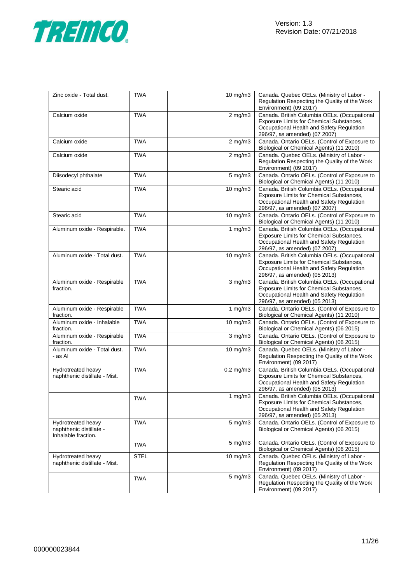

| Zinc oxide - Total dust.                                             | <b>TWA</b>  | 10 mg/m3             | Canada. Quebec OELs. (Ministry of Labor -<br>Regulation Respecting the Quality of the Work<br>Environment) (09 2017)                                                   |
|----------------------------------------------------------------------|-------------|----------------------|------------------------------------------------------------------------------------------------------------------------------------------------------------------------|
| Calcium oxide                                                        | <b>TWA</b>  | $2$ mg/m $3$         | Canada. British Columbia OELs. (Occupational<br>Exposure Limits for Chemical Substances,<br>Occupational Health and Safety Regulation<br>296/97, as amended) (07 2007) |
| Calcium oxide                                                        | <b>TWA</b>  | $2$ mg/m $3$         | Canada. Ontario OELs. (Control of Exposure to<br>Biological or Chemical Agents) (11 2010)                                                                              |
| Calcium oxide                                                        | <b>TWA</b>  | $2$ mg/m $3$         | Canada. Quebec OELs. (Ministry of Labor -<br>Regulation Respecting the Quality of the Work<br>Environment) (09 2017)                                                   |
| Diisodecyl phthalate                                                 | <b>TWA</b>  | 5 mg/m3              | Canada. Ontario OELs. (Control of Exposure to<br>Biological or Chemical Agents) (11 2010)                                                                              |
| Stearic acid                                                         | <b>TWA</b>  | 10 mg/m3             | Canada. British Columbia OELs. (Occupational<br>Exposure Limits for Chemical Substances,<br>Occupational Health and Safety Regulation<br>296/97, as amended) (07 2007) |
| Stearic acid                                                         | <b>TWA</b>  | 10 mg/m3             | Canada. Ontario OELs. (Control of Exposure to<br>Biological or Chemical Agents) (11 2010)                                                                              |
| Aluminum oxide - Respirable.                                         | <b>TWA</b>  | 1 $mg/m3$            | Canada. British Columbia OELs. (Occupational<br>Exposure Limits for Chemical Substances,<br>Occupational Health and Safety Regulation<br>296/97, as amended) (07 2007) |
| Aluminum oxide - Total dust.                                         | <b>TWA</b>  | 10 mg/m3             | Canada. British Columbia OELs. (Occupational<br>Exposure Limits for Chemical Substances,<br>Occupational Health and Safety Regulation<br>296/97, as amended) (05 2013) |
| Aluminum oxide - Respirable<br>fraction.                             | <b>TWA</b>  | $3$ mg/m $3$         | Canada. British Columbia OELs. (Occupational<br>Exposure Limits for Chemical Substances,<br>Occupational Health and Safety Regulation<br>296/97, as amended) (05 2013) |
| Aluminum oxide - Respirable<br>fraction.                             | <b>TWA</b>  | 1 $mg/m3$            | Canada. Ontario OELs. (Control of Exposure to<br>Biological or Chemical Agents) (11 2010)                                                                              |
| Aluminum oxide - Inhalable<br>fraction.                              | <b>TWA</b>  | 10 mg/m3             | Canada. Ontario OELs. (Control of Exposure to<br>Biological or Chemical Agents) (06 2015)                                                                              |
| Aluminum oxide - Respirable<br>fraction.                             | <b>TWA</b>  | $3$ mg/m $3$         | Canada. Ontario OELs. (Control of Exposure to<br>Biological or Chemical Agents) (06 2015)                                                                              |
| Aluminum oxide - Total dust.<br>- as Al                              | <b>TWA</b>  | $\frac{1}{10}$ mg/m3 | Canada. Quebec OELs. (Ministry of Labor -<br>Regulation Respecting the Quality of the Work<br>Environment) (09 2017)                                                   |
| Hydrotreated heavy<br>naphthenic distillate - Mist.                  | <b>TWA</b>  | $0.2$ mg/m $3$       | Canada. British Columbia OELs. (Occupational<br>Exposure Limits for Chemical Substances,<br>Occupational Health and Safety Regulation<br>296/97, as amended) (05 2013) |
|                                                                      | <b>TWA</b>  | 1 $mg/m3$            | Canada. British Columbia OELs. (Occupational<br>Exposure Limits for Chemical Substances,<br>Occupational Health and Safety Regulation<br>296/97, as amended) (05 2013) |
| Hydrotreated heavy<br>naphthenic distillate -<br>Inhalable fraction. | <b>TWA</b>  | $5 \text{ mg/m}$     | Canada. Ontario OELs. (Control of Exposure to<br>Biological or Chemical Agents) (06 2015)                                                                              |
|                                                                      | <b>TWA</b>  | $5$ mg/m $3$         | Canada. Ontario OELs. (Control of Exposure to<br>Biological or Chemical Agents) (06 2015)                                                                              |
| Hydrotreated heavy<br>naphthenic distillate - Mist.                  | <b>STEL</b> | $10 \text{ mg/m}$    | Canada. Quebec OELs. (Ministry of Labor -<br>Regulation Respecting the Quality of the Work<br>Environment) (09 2017)                                                   |
|                                                                      | <b>TWA</b>  | 5 mg/m3              | Canada. Quebec OELs. (Ministry of Labor -<br>Regulation Respecting the Quality of the Work<br>Environment) (09 2017)                                                   |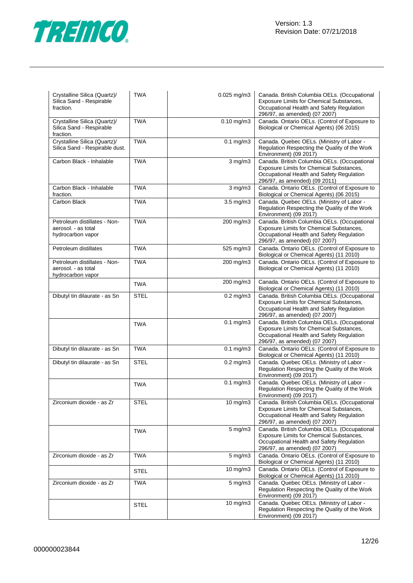

| Crystalline Silica (Quartz)/<br>Silica Sand - Respirable<br>fraction.    | <b>TWA</b>  | 0.025 mg/m3           | Canada. British Columbia OELs. (Occupational<br>Exposure Limits for Chemical Substances,<br>Occupational Health and Safety Regulation<br>296/97, as amended) (07 2007) |
|--------------------------------------------------------------------------|-------------|-----------------------|------------------------------------------------------------------------------------------------------------------------------------------------------------------------|
| Crystalline Silica (Quartz)/<br>Silica Sand - Respirable<br>fraction.    | <b>TWA</b>  | $0.10$ mg/m $3$       | Canada. Ontario OELs. (Control of Exposure to<br>Biological or Chemical Agents) (06 2015)                                                                              |
| Crystalline Silica (Quartz)/<br>Silica Sand - Respirable dust.           | <b>TWA</b>  | $0.1$ mg/m $3$        | Canada. Quebec OELs. (Ministry of Labor -<br>Regulation Respecting the Quality of the Work<br>Environment) (09 2017)                                                   |
| Carbon Black - Inhalable                                                 | <b>TWA</b>  | $3$ mg/m $3$          | Canada. British Columbia OELs. (Occupational<br>Exposure Limits for Chemical Substances,<br>Occupational Health and Safety Regulation<br>296/97, as amended) (09 2011) |
| Carbon Black - Inhalable<br>fraction.                                    | <b>TWA</b>  | $3$ mg/m $3$          | Canada. Ontario OELs. (Control of Exposure to<br>Biological or Chemical Agents) (06 2015)                                                                              |
| Carbon Black                                                             | <b>TWA</b>  | 3.5 mg/m3             | Canada. Quebec OELs. (Ministry of Labor -<br>Regulation Respecting the Quality of the Work<br>Environment) (09 2017)                                                   |
| Petroleum distillates - Non-<br>aerosol. - as total<br>hydrocarbon vapor | <b>TWA</b>  | 200 mg/m3             | Canada. British Columbia OELs. (Occupational<br>Exposure Limits for Chemical Substances,<br>Occupational Health and Safety Regulation<br>296/97, as amended) (07 2007) |
| Petroleum distillates                                                    | <b>TWA</b>  | 525 mg/m3             | Canada. Ontario OELs. (Control of Exposure to<br>Biological or Chemical Agents) (11 2010)                                                                              |
| Petroleum distillates - Non-<br>aerosol. - as total<br>hydrocarbon vapor | <b>TWA</b>  | 200 mg/m3             | Canada. Ontario OELs. (Control of Exposure to<br>Biological or Chemical Agents) (11 2010)                                                                              |
|                                                                          | <b>TWA</b>  | 200 mg/m3             | Canada. Ontario OELs. (Control of Exposure to<br>Biological or Chemical Agents) (11 2010)                                                                              |
| Dibutyl tin dilaurate - as Sn                                            | <b>STEL</b> | $0.2$ mg/m $3$        | Canada. British Columbia OELs. (Occupational<br>Exposure Limits for Chemical Substances,<br>Occupational Health and Safety Regulation<br>296/97, as amended) (07 2007) |
|                                                                          | <b>TWA</b>  | $0.1$ mg/m $3$        | Canada. British Columbia OELs. (Occupational<br>Exposure Limits for Chemical Substances,<br>Occupational Health and Safety Regulation<br>296/97, as amended) (07 2007) |
| Dibutyl tin dilaurate - as Sn                                            | <b>TWA</b>  | $0.1$ mg/m $3$        | Canada. Ontario OELs. (Control of Exposure to<br>Biological or Chemical Agents) (11 2010)                                                                              |
| Dibutyl tin dilaurate - as Sn                                            | <b>STEL</b> | $0.2$ mg/m $3$        | Canada. Quebec OELs. (Ministry of Labor -<br>Regulation Respecting the Quality of the Work<br>Environment) (09 2017)                                                   |
|                                                                          | <b>TWA</b>  | $0.1$ mg/m $3$        | Canada. Quebec OELs. (Ministry of Labor -<br>Regulation Respecting the Quality of the Work<br>Environment) (09 2017)                                                   |
| Zirconium dioxide - as Zr                                                | <b>STEL</b> | $\overline{10}$ mg/m3 | Canada. British Columbia OELs. (Occupational<br>Exposure Limits for Chemical Substances,<br>Occupational Health and Safety Regulation<br>296/97, as amended) (07 2007) |
|                                                                          | <b>TWA</b>  | 5 mg/m3               | Canada. British Columbia OELs. (Occupational<br>Exposure Limits for Chemical Substances,<br>Occupational Health and Safety Regulation<br>296/97, as amended) (07 2007) |
| Zirconium dioxide - as Zr                                                | <b>TWA</b>  | $5 \text{ mg/m}$ 3    | Canada. Ontario OELs. (Control of Exposure to<br>Biological or Chemical Agents) (11 2010)                                                                              |
|                                                                          | STEL        | $10 \text{ mg/m}$     | Canada. Ontario OELs. (Control of Exposure to<br>Biological or Chemical Agents) (11 2010)                                                                              |
| Zirconium dioxide - as Zr                                                | <b>TWA</b>  | 5 mg/m3               | Canada. Quebec OELs. (Ministry of Labor -<br>Regulation Respecting the Quality of the Work<br>Environment) (09 2017)                                                   |
|                                                                          | <b>STEL</b> | $10 \text{ mg/m}$     | Canada. Quebec OELs. (Ministry of Labor -<br>Regulation Respecting the Quality of the Work<br>Environment) (09 2017)                                                   |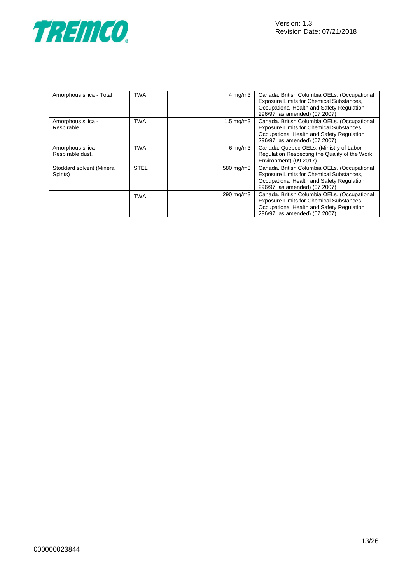

| Amorphous silica - Total               | <b>TWA</b>  | $4 \text{ mg/m}$ 3  | Canada. British Columbia OELs. (Occupational<br>Exposure Limits for Chemical Substances,<br>Occupational Health and Safety Regulation<br>296/97, as amended) (07 2007) |
|----------------------------------------|-------------|---------------------|------------------------------------------------------------------------------------------------------------------------------------------------------------------------|
| Amorphous silica -<br>Respirable.      | <b>TWA</b>  | $1.5 \text{ mg/m}$  | Canada. British Columbia OELs. (Occupational<br>Exposure Limits for Chemical Substances,<br>Occupational Health and Safety Regulation<br>296/97, as amended) (07 2007) |
| Amorphous silica -<br>Respirable dust. | <b>TWA</b>  | $6 \,\mathrm{mg/m}$ | Canada. Quebec OELs. (Ministry of Labor -<br>Regulation Respecting the Quality of the Work<br>Environment) (09 2017)                                                   |
| Stoddard solvent (Mineral<br>Spirits)  | <b>STEL</b> | 580 mg/m3           | Canada. British Columbia OELs. (Occupational<br>Exposure Limits for Chemical Substances,<br>Occupational Health and Safety Regulation<br>296/97, as amended) (07 2007) |
|                                        | TWA         | 290 mg/m3           | Canada. British Columbia OELs. (Occupational<br>Exposure Limits for Chemical Substances,<br>Occupational Health and Safety Regulation<br>296/97, as amended) (07 2007) |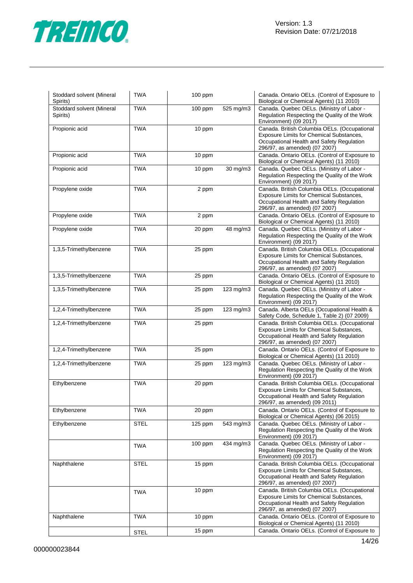

| Stoddard solvent (Mineral<br>Spirits) | <b>TWA</b>  | $100$ ppm |                | Canada. Ontario OELs. (Control of Exposure to<br>Biological or Chemical Agents) (11 2010)                                                                              |
|---------------------------------------|-------------|-----------|----------------|------------------------------------------------------------------------------------------------------------------------------------------------------------------------|
| Stoddard solvent (Mineral<br>Spirits) | <b>TWA</b>  | $100$ ppm | 525 mg/m3      | Canada. Quebec OELs. (Ministry of Labor -<br>Regulation Respecting the Quality of the Work<br>Environment) (09 2017)                                                   |
| Propionic acid                        | <b>TWA</b>  | 10 ppm    |                | Canada. British Columbia OELs. (Occupational<br>Exposure Limits for Chemical Substances,<br>Occupational Health and Safety Regulation<br>296/97, as amended) (07 2007) |
| Propionic acid                        | <b>TWA</b>  | 10 ppm    |                | Canada. Ontario OELs. (Control of Exposure to<br>Biological or Chemical Agents) (11 2010)                                                                              |
| Propionic acid                        | <b>TWA</b>  | 10 ppm    | 30 mg/m3       | Canada. Quebec OELs. (Ministry of Labor -<br>Regulation Respecting the Quality of the Work<br>Environment) (09 2017)                                                   |
| Propylene oxide                       | <b>TWA</b>  | 2 ppm     |                | Canada. British Columbia OELs. (Occupational<br>Exposure Limits for Chemical Substances,<br>Occupational Health and Safety Regulation<br>296/97, as amended) (07 2007) |
| Propylene oxide                       | <b>TWA</b>  | 2 ppm     |                | Canada. Ontario OELs. (Control of Exposure to<br>Biological or Chemical Agents) (11 2010)                                                                              |
| Propylene oxide                       | <b>TWA</b>  | 20 ppm    | 48 mg/m3       | Canada. Quebec OELs. (Ministry of Labor -<br>Regulation Respecting the Quality of the Work<br>Environment) (09 2017)                                                   |
| 1,3,5-Trimethylbenzene                | <b>TWA</b>  | 25 ppm    |                | Canada. British Columbia OELs. (Occupational<br>Exposure Limits for Chemical Substances,<br>Occupational Health and Safety Regulation<br>296/97, as amended) (07 2007) |
| 1,3,5-Trimethylbenzene                | <b>TWA</b>  | 25 ppm    |                | Canada. Ontario OELs. (Control of Exposure to<br>Biological or Chemical Agents) (11 2010)                                                                              |
| 1,3,5-Trimethylbenzene                | <b>TWA</b>  | 25 ppm    | 123 mg/m3      | Canada. Quebec OELs. (Ministry of Labor -<br>Regulation Respecting the Quality of the Work<br>Environment) (09 2017)                                                   |
| 1,2,4-Trimethylbenzene                | <b>TWA</b>  | 25 ppm    | $123$ mg/m $3$ | Canada. Alberta OELs (Occupational Health &<br>Safety Code, Schedule 1, Table 2) (07 2009)                                                                             |
| 1,2,4-Trimethylbenzene                | <b>TWA</b>  | 25 ppm    |                | Canada. British Columbia OELs. (Occupational<br>Exposure Limits for Chemical Substances,<br>Occupational Health and Safety Regulation<br>296/97, as amended) (07 2007) |
| 1,2,4-Trimethylbenzene                | <b>TWA</b>  | 25 ppm    |                | Canada. Ontario OELs. (Control of Exposure to<br>Biological or Chemical Agents) (11 2010)                                                                              |
| 1,2,4-Trimethylbenzene                | <b>TWA</b>  | 25 ppm    | 123 mg/m3      | Canada. Quebec OELs. (Ministry of Labor -<br>Regulation Respecting the Quality of the Work<br>Environment) (09 2017)                                                   |
| Ethylbenzene                          | <b>TWA</b>  | 20 ppm    |                | Canada. British Columbia OELs. (Occupational<br>Exposure Limits for Chemical Substances,<br>Occupational Health and Safety Regulation<br>296/97, as amended) (09 2011) |
| Ethylbenzene                          | <b>TWA</b>  | 20 ppm    |                | Canada. Ontario OELs. (Control of Exposure to<br>Biological or Chemical Agents) (06 2015)                                                                              |
| Ethylbenzene                          | <b>STEL</b> | $125$ ppm | 543 mg/m3      | Canada. Quebec OELs. (Ministry of Labor -<br>Regulation Respecting the Quality of the Work<br>Environment) (09 2017)                                                   |
|                                       | <b>TWA</b>  | $100$ ppm | 434 mg/m3      | Canada. Quebec OELs. (Ministry of Labor -<br>Regulation Respecting the Quality of the Work<br>Environment) (09 2017)                                                   |
| Naphthalene                           | <b>STEL</b> | 15 ppm    |                | Canada. British Columbia OELs. (Occupational<br>Exposure Limits for Chemical Substances,<br>Occupational Health and Safety Regulation<br>296/97, as amended) (07 2007) |
|                                       | <b>TWA</b>  | 10 ppm    |                | Canada. British Columbia OELs. (Occupational<br>Exposure Limits for Chemical Substances,<br>Occupational Health and Safety Regulation<br>296/97, as amended) (07 2007) |
| Naphthalene                           | <b>TWA</b>  | 10 ppm    |                | Canada. Ontario OELs. (Control of Exposure to<br>Biological or Chemical Agents) (11 2010)                                                                              |
|                                       | <b>STEL</b> | 15 ppm    |                | Canada. Ontario OELs. (Control of Exposure to                                                                                                                          |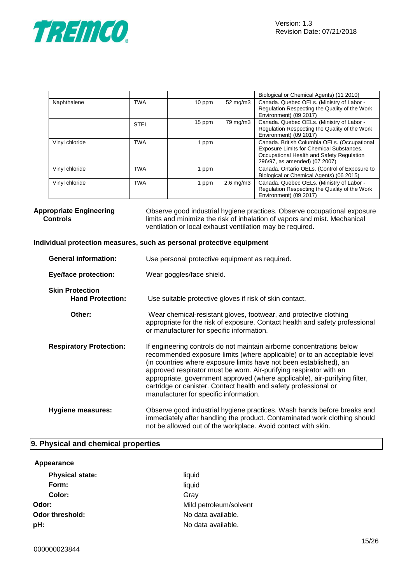

|                |             |        |                      | Biological or Chemical Agents) (11 2010)                                                                                                                               |
|----------------|-------------|--------|----------------------|------------------------------------------------------------------------------------------------------------------------------------------------------------------------|
| Naphthalene    | <b>TWA</b>  | 10 ppm | $52 \text{ mg/m}$    | Canada. Quebec OELs. (Ministry of Labor -<br>Regulation Respecting the Quality of the Work<br>Environment) (09 2017)                                                   |
|                | <b>STEL</b> | 15 ppm | 79 mg/m3             | Canada. Quebec OELs. (Ministry of Labor -<br>Regulation Respecting the Quality of the Work<br>Environment) (09 2017)                                                   |
| Vinyl chloride | <b>TWA</b>  | 1 ppm  |                      | Canada. British Columbia OELs. (Occupational<br>Exposure Limits for Chemical Substances,<br>Occupational Health and Safety Regulation<br>296/97, as amended) (07 2007) |
| Vinyl chloride | TWA         | 1 ppm  |                      | Canada. Ontario OELs. (Control of Exposure to<br>Biological or Chemical Agents) (06 2015)                                                                              |
| Vinyl chloride | <b>TWA</b>  | 1 ppm  | $2.6 \text{ mg/m}$ 3 | Canada. Quebec OELs. (Ministry of Labor -<br>Regulation Respecting the Quality of the Work<br>Environment) (09 2017)                                                   |

**Appropriate Engineering Controls** Observe good industrial hygiene practices. Observe occupational exposure limits and minimize the risk of inhalation of vapors and mist. Mechanical ventilation or local exhaust ventilation may be required.

#### **Individual protection measures, such as personal protective equipment**

| <b>General information:</b>                       | Use personal protective equipment as required.                                                                                                                                                                                                                                                                                                                                                                                                                                            |
|---------------------------------------------------|-------------------------------------------------------------------------------------------------------------------------------------------------------------------------------------------------------------------------------------------------------------------------------------------------------------------------------------------------------------------------------------------------------------------------------------------------------------------------------------------|
| <b>Eye/face protection:</b>                       | Wear goggles/face shield.                                                                                                                                                                                                                                                                                                                                                                                                                                                                 |
| <b>Skin Protection</b><br><b>Hand Protection:</b> | Use suitable protective gloves if risk of skin contact.                                                                                                                                                                                                                                                                                                                                                                                                                                   |
| Other:                                            | Wear chemical-resistant gloves, footwear, and protective clothing<br>appropriate for the risk of exposure. Contact health and safety professional<br>or manufacturer for specific information.                                                                                                                                                                                                                                                                                            |
| <b>Respiratory Protection:</b>                    | If engineering controls do not maintain airborne concentrations below<br>recommended exposure limits (where applicable) or to an acceptable level<br>(in countries where exposure limits have not been established), an<br>approved respirator must be worn. Air-purifying respirator with an<br>appropriate, government approved (where applicable), air-purifying filter,<br>cartridge or canister. Contact health and safety professional or<br>manufacturer for specific information. |
| <b>Hygiene measures:</b>                          | Observe good industrial hygiene practices. Wash hands before breaks and<br>immediately after handling the product. Contaminated work clothing should<br>not be allowed out of the workplace. Avoid contact with skin.                                                                                                                                                                                                                                                                     |

#### **9. Physical and chemical properties**

#### **Appearance**

| <b>Physical state:</b> | liquid                 |
|------------------------|------------------------|
| Form:                  | liquid                 |
| Color:                 | Grav                   |
| Odor:                  | Mild petroleum/solvent |
| <b>Odor threshold:</b> | No data available.     |
| pH:                    | No data available.     |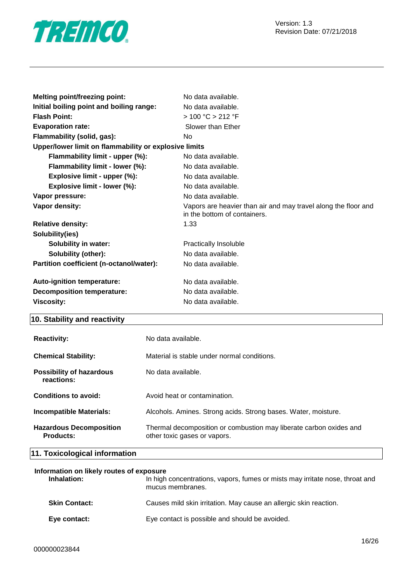

| <b>Melting point/freezing point:</b>                   | No data available.                                                                             |
|--------------------------------------------------------|------------------------------------------------------------------------------------------------|
| Initial boiling point and boiling range:               | No data available.                                                                             |
| <b>Flash Point:</b>                                    | > 100 °C > 212 °F                                                                              |
| <b>Evaporation rate:</b>                               | Slower than Ether                                                                              |
| Flammability (solid, gas):                             | No                                                                                             |
| Upper/lower limit on flammability or explosive limits  |                                                                                                |
| Flammability limit - upper (%):                        | No data available.                                                                             |
| Flammability limit - lower (%):                        | No data available.                                                                             |
| Explosive limit - upper (%):                           | No data available.                                                                             |
| Explosive limit - lower (%):                           | No data available.                                                                             |
| Vapor pressure:                                        | No data available.                                                                             |
|                                                        |                                                                                                |
| Vapor density:                                         | Vapors are heavier than air and may travel along the floor and<br>in the bottom of containers. |
| <b>Relative density:</b>                               | 1.33                                                                                           |
| Solubility(ies)                                        |                                                                                                |
| <b>Solubility in water:</b>                            | Practically Insoluble                                                                          |
| <b>Solubility (other):</b>                             | No data available.                                                                             |
| Partition coefficient (n-octanol/water):               | No data available.                                                                             |
|                                                        |                                                                                                |
| Auto-ignition temperature:                             | No data available.                                                                             |
| <b>Decomposition temperature:</b><br><b>Viscosity:</b> | No data available.<br>No data available.                                                       |

#### **10. Stability and reactivity**

| <b>Reactivity:</b>                                 | No data available.                                                                                 |
|----------------------------------------------------|----------------------------------------------------------------------------------------------------|
| <b>Chemical Stability:</b>                         | Material is stable under normal conditions.                                                        |
| <b>Possibility of hazardous</b><br>reactions:      | No data available.                                                                                 |
| Conditions to avoid:                               | Avoid heat or contamination.                                                                       |
| <b>Incompatible Materials:</b>                     | Alcohols. Amines. Strong acids. Strong bases. Water, moisture.                                     |
| <b>Hazardous Decomposition</b><br><b>Products:</b> | Thermal decomposition or combustion may liberate carbon oxides and<br>other toxic gases or vapors. |

#### **11. Toxicological information**

| Information on likely routes of exposure |                                                                                                  |  |
|------------------------------------------|--------------------------------------------------------------------------------------------------|--|
| Inhalation:                              | In high concentrations, vapors, fumes or mists may irritate nose, throat and<br>mucus membranes. |  |
| <b>Skin Contact:</b>                     | Causes mild skin irritation. May cause an allergic skin reaction.                                |  |
| Eye contact:                             | Eye contact is possible and should be avoided.                                                   |  |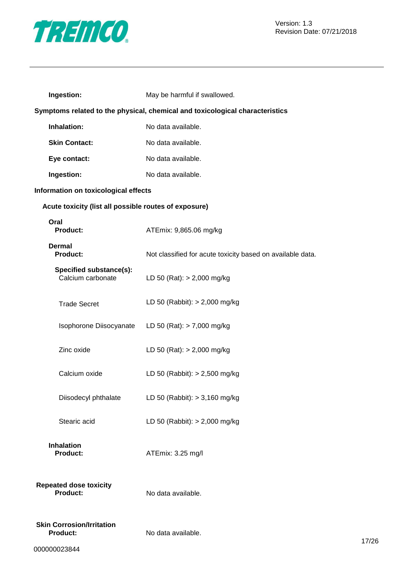

| Ingestion:                                                                   | May be harmful if swallowed.                               |  |
|------------------------------------------------------------------------------|------------------------------------------------------------|--|
| Symptoms related to the physical, chemical and toxicological characteristics |                                                            |  |
| Inhalation:                                                                  | No data available.                                         |  |
| <b>Skin Contact:</b>                                                         | No data available.                                         |  |
| Eye contact:                                                                 | No data available.                                         |  |
| Ingestion:                                                                   | No data available.                                         |  |
| Information on toxicological effects                                         |                                                            |  |
| Acute toxicity (list all possible routes of exposure)                        |                                                            |  |
| Oral<br><b>Product:</b>                                                      | ATEmix: 9,865.06 mg/kg                                     |  |
| <b>Dermal</b><br><b>Product:</b>                                             | Not classified for acute toxicity based on available data. |  |
| Specified substance(s):<br>Calcium carbonate                                 | LD 50 (Rat): $> 2,000$ mg/kg                               |  |
| <b>Trade Secret</b>                                                          | LD 50 (Rabbit): $> 2,000$ mg/kg                            |  |
| Isophorone Diisocyanate                                                      | LD 50 (Rat): $> 7,000$ mg/kg                               |  |
| Zinc oxide                                                                   | LD 50 (Rat): $> 2,000$ mg/kg                               |  |
| Calcium oxide                                                                | LD 50 (Rabbit): $> 2,500$ mg/kg                            |  |
| Diisodecyl phthalate                                                         | LD 50 (Rabbit): $> 3,160$ mg/kg                            |  |
| Stearic acid                                                                 | LD 50 (Rabbit): $> 2,000$ mg/kg                            |  |
| <b>Inhalation</b><br><b>Product:</b>                                         | ATEmix: 3.25 mg/l                                          |  |
| <b>Repeated dose toxicity</b><br><b>Product:</b>                             | No data available.                                         |  |
| <b>Skin Corrosion/Irritation</b><br><b>Product:</b>                          | No data available.                                         |  |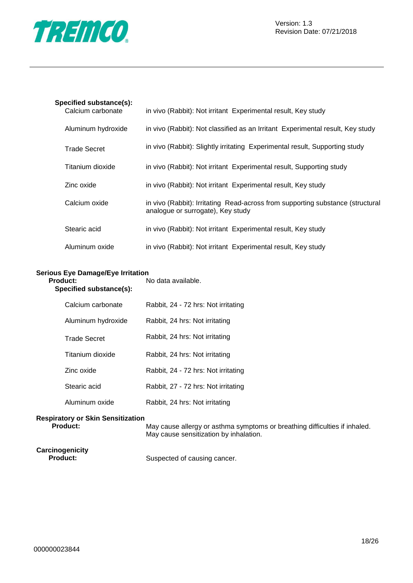

| Specified substance(s):<br>Calcium carbonate | in vivo (Rabbit): Not irritant Experimental result, Key study                                                       |
|----------------------------------------------|---------------------------------------------------------------------------------------------------------------------|
| Aluminum hydroxide                           | in vivo (Rabbit): Not classified as an Irritant Experimental result, Key study                                      |
| <b>Trade Secret</b>                          | in vivo (Rabbit): Slightly irritating Experimental result, Supporting study                                         |
| Titanium dioxide                             | in vivo (Rabbit): Not irritant Experimental result, Supporting study                                                |
| Zinc oxide                                   | in vivo (Rabbit): Not irritant Experimental result, Key study                                                       |
| Calcium oxide                                | in vivo (Rabbit): Irritating Read-across from supporting substance (structural<br>analogue or surrogate), Key study |
| Stearic acid                                 | in vivo (Rabbit): Not irritant Experimental result, Key study                                                       |
| Aluminum oxide                               | in vivo (Rabbit): Not irritant Experimental result, Key study                                                       |

#### **Serious Eye Damage/Eye Irritation Product:** No data available.

**Specified substance(s):**

| Calcium carbonate   | Rabbit, 24 - 72 hrs: Not irritating |
|---------------------|-------------------------------------|
| Aluminum hydroxide  | Rabbit, 24 hrs: Not irritating      |
| <b>Trade Secret</b> | Rabbit, 24 hrs: Not irritating      |
| Titanium dioxide    | Rabbit, 24 hrs: Not irritating      |
| Zinc oxide          | Rabbit, 24 - 72 hrs: Not irritating |
| Stearic acid        | Rabbit, 27 - 72 hrs: Not irritating |
| Aluminum oxide      | Rabbit, 24 hrs: Not irritating      |

## **Respiratory or Skin Sensitization**

May cause allergy or asthma symptoms or breathing difficulties if inhaled. May cause sensitization by inhalation.

## **Carcinogenicity**

Suspected of causing cancer.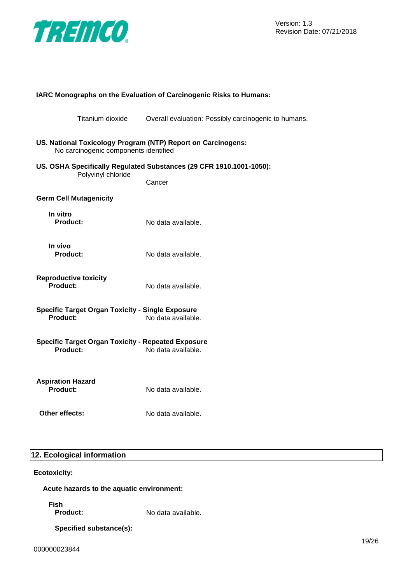

| IARC Monographs on the Evaluation of Carcinogenic Risks to Humans:                                    |                                                                     |  |
|-------------------------------------------------------------------------------------------------------|---------------------------------------------------------------------|--|
| Titanium dioxide                                                                                      | Overall evaluation: Possibly carcinogenic to humans.                |  |
| US. National Toxicology Program (NTP) Report on Carcinogens:<br>No carcinogenic components identified |                                                                     |  |
| Polyvinyl chloride                                                                                    | US. OSHA Specifically Regulated Substances (29 CFR 1910.1001-1050): |  |
|                                                                                                       | Cancer                                                              |  |
| <b>Germ Cell Mutagenicity</b>                                                                         |                                                                     |  |
| In vitro<br>Product:                                                                                  | No data available.                                                  |  |
| In vivo<br><b>Product:</b>                                                                            | No data available.                                                  |  |
| <b>Reproductive toxicity</b><br>Product:                                                              | No data available.                                                  |  |
| <b>Specific Target Organ Toxicity - Single Exposure</b><br>Product:<br>No data available.             |                                                                     |  |
| <b>Specific Target Organ Toxicity - Repeated Exposure</b><br>Product:                                 | No data available.                                                  |  |
| <b>Aspiration Hazard</b><br>Product:                                                                  | No data available.                                                  |  |
| Other effects:                                                                                        | No data available.                                                  |  |

#### **12. Ecological information**

#### **Ecotoxicity:**

#### **Acute hazards to the aquatic environment:**

**Fish**

No data available.

#### **Specified substance(s):**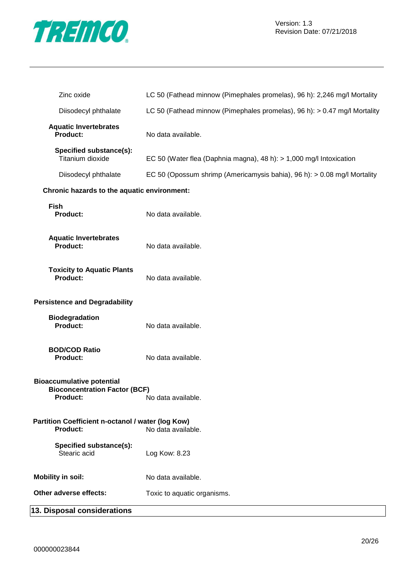

| Zinc oxide                                                                                  | LC 50 (Fathead minnow (Pimephales promelas), 96 h): 2,246 mg/l Mortality  |
|---------------------------------------------------------------------------------------------|---------------------------------------------------------------------------|
| Diisodecyl phthalate                                                                        | LC 50 (Fathead minnow (Pimephales promelas), 96 h): > 0.47 mg/l Mortality |
| <b>Aquatic Invertebrates</b><br><b>Product:</b>                                             | No data available.                                                        |
| Specified substance(s):<br>Titanium dioxide                                                 | EC 50 (Water flea (Daphnia magna), 48 h): $> 1,000$ mg/l Intoxication     |
| Diisodecyl phthalate                                                                        | EC 50 (Opossum shrimp (Americamysis bahia), 96 h): > 0.08 mg/l Mortality  |
| Chronic hazards to the aquatic environment:                                                 |                                                                           |
| <b>Fish</b><br><b>Product:</b>                                                              | No data available.                                                        |
| <b>Aquatic Invertebrates</b><br><b>Product:</b>                                             | No data available.                                                        |
| <b>Toxicity to Aquatic Plants</b><br><b>Product:</b>                                        | No data available.                                                        |
| <b>Persistence and Degradability</b>                                                        |                                                                           |
| <b>Biodegradation</b><br>Product:                                                           | No data available.                                                        |
| <b>BOD/COD Ratio</b><br><b>Product:</b>                                                     | No data available.                                                        |
| <b>Bioaccumulative potential</b><br><b>Bioconcentration Factor (BCF)</b><br><b>Product:</b> | No data available.                                                        |
| Partition Coefficient n-octanol / water (log Kow)<br><b>Product:</b>                        | No data available.                                                        |
| Specified substance(s):<br>Stearic acid                                                     | Log Kow: 8.23                                                             |
| <b>Mobility in soil:</b>                                                                    | No data available.                                                        |
| Other adverse effects:                                                                      | Toxic to aquatic organisms.                                               |
| 13. Disposal considerations                                                                 |                                                                           |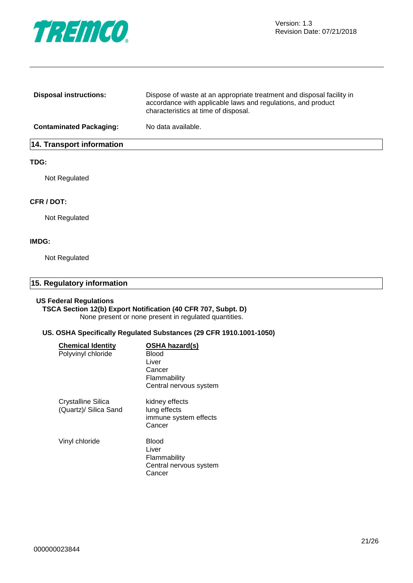

| <b>Disposal instructions:</b>    | Dispose of waste at an appropriate treatment and disposal facility in<br>accordance with applicable laws and regulations, and product<br>characteristics at time of disposal. |
|----------------------------------|-------------------------------------------------------------------------------------------------------------------------------------------------------------------------------|
| <b>Contaminated Packaging:</b>   | No data available.                                                                                                                                                            |
| <b>14. Transport information</b> |                                                                                                                                                                               |

#### **TDG:**

Not Regulated

#### **CFR / DOT:**

Not Regulated

#### **IMDG:**

Not Regulated

#### **15. Regulatory information**

#### **US Federal Regulations**

**TSCA Section 12(b) Export Notification (40 CFR 707, Subpt. D)** None present or none present in regulated quantities.

#### **US. OSHA Specifically Regulated Substances (29 CFR 1910.1001-1050)**

| <b>Chemical Identity</b><br>Polyvinyl chloride | <b>OSHA hazard(s)</b><br>Blood<br>Liver<br>Cancer<br>Flammability<br>Central nervous system |
|------------------------------------------------|---------------------------------------------------------------------------------------------|
| Crystalline Silica<br>(Quartz)/ Silica Sand    | kidney effects<br>lung effects<br>immune system effects<br>Cancer                           |
| Vinyl chloride                                 | Blood<br>Liver<br>Flammability<br>Central nervous system<br>Cancer                          |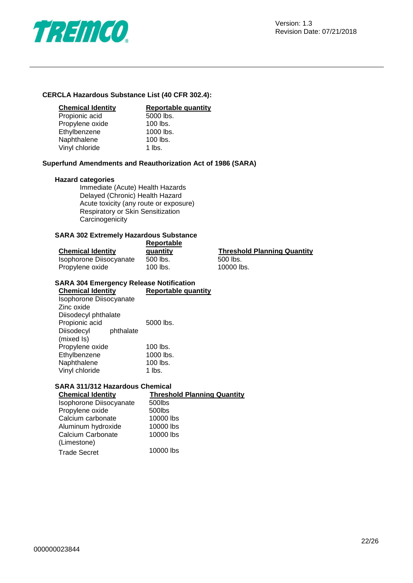

#### **CERCLA Hazardous Substance List (40 CFR 302.4):**

Propionic acid 5000 lbs<br>Propylene oxide 100 lbs. Propylene oxide 100 lbs.<br>Ethylbenzene 1000 lbs. Ethylbenzene 1000 lbs<br>Naphthalene 100 lbs. Naphthalene Vinyl chloride 1 lbs.

# **Chemical Identity**<br> **Reportable quantity**<br> **Propionic acid Reportable quantity**

#### **Superfund Amendments and Reauthorization Act of 1986 (SARA)**

#### **Hazard categories**

Immediate (Acute) Health Hazards Delayed (Chronic) Health Hazard Acute toxicity (any route or exposure) Respiratory or Skin Sensitization **Carcinogenicity** 

#### **SARA 302 Extremely Hazardous Substance**

|                          | Reportable |                                    |
|--------------------------|------------|------------------------------------|
| <b>Chemical Identity</b> | quantity   | <b>Threshold Planning Quantity</b> |
| Isophorone Diisocyanate  | 500 lbs.   | 500 lbs.                           |
| Propylene oxide          | 100 lbs.   | 10000 lbs.                         |

#### **SARA 304 Emergency Release Notification**

| <b>Chemical Identity</b> | <b>Reportable quantity</b> |
|--------------------------|----------------------------|
| Isophorone Diisocyanate  |                            |
| Zinc oxide               |                            |
| Diisodecyl phthalate     |                            |
| Propionic acid           | 5000 lbs.                  |
| Diisodecyl<br>phthalate  |                            |
| (mixed Is)               |                            |
| Propylene oxide          | 100 lbs.                   |
| Ethylbenzene             | 1000 lbs.                  |
| Naphthalene              | 100 lbs.                   |
| Vinyl chloride           | 1 lbs.                     |

#### **SARA 311/312 Hazardous Chemical**

| <b>Chemical Identity</b> | <b>Threshold Planning Quantity</b> |
|--------------------------|------------------------------------|
| Isophorone Diisocyanate  | 500lbs                             |
| Propylene oxide          | 500lbs                             |
| Calcium carbonate        | 10000 lbs                          |
| Aluminum hydroxide       | 10000 lbs                          |
| Calcium Carbonate        | 10000 lbs                          |
| (Limestone)              |                                    |
| <b>Trade Secret</b>      | 10000 lbs                          |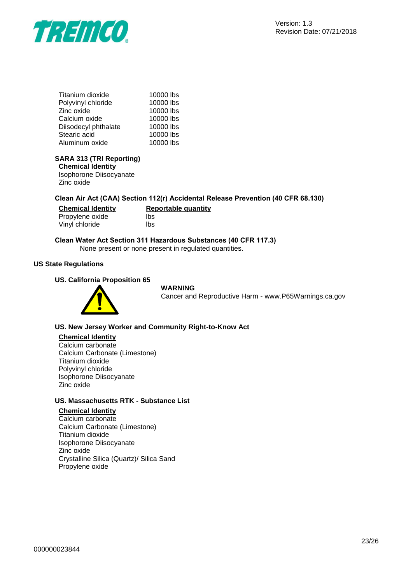

| Titanium dioxide     | 10000 lbs |
|----------------------|-----------|
| Polyvinyl chloride   | 10000 lbs |
| Zinc oxide           | 10000 lbs |
| Calcium oxide        | 10000 lbs |
| Diisodecyl phthalate | 10000 lbs |
| Stearic acid         | 10000 lbs |
| Aluminum oxide       | 10000 lbs |
|                      |           |

#### **SARA 313 (TRI Reporting)**

**Chemical Identity** Isophorone Diisocyanate Zinc oxide

#### **Clean Air Act (CAA) Section 112(r) Accidental Release Prevention (40 CFR 68.130)**

| <b>Chemical Identity</b> | Reportable quantity |
|--------------------------|---------------------|
| Propylene oxide          | lbs                 |
| Vinyl chloride           | lbs                 |

#### **Clean Water Act Section 311 Hazardous Substances (40 CFR 117.3)**

None present or none present in regulated quantities.

#### **US State Regulations**

#### **US. California Proposition 65**



#### **WARNING**

Cancer and Reproductive Harm - www.P65Warnings.ca.gov

#### **US. New Jersey Worker and Community Right-to-Know Act**

#### **Chemical Identity**

Calcium carbonate Calcium Carbonate (Limestone) Titanium dioxide Polyvinyl chloride Isophorone Diisocyanate Zinc oxide

#### **US. Massachusetts RTK - Substance List**

#### **Chemical Identity** Calcium carbonate Calcium Carbonate (Limestone) Titanium dioxide Isophorone Diisocyanate Zinc oxide Crystalline Silica (Quartz)/ Silica Sand Propylene oxide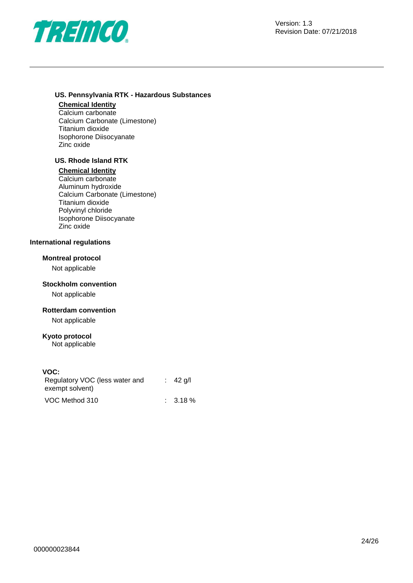

#### **US. Pennsylvania RTK - Hazardous Substances**

#### **Chemical Identity**

Calcium carbonate Calcium Carbonate (Limestone) Titanium dioxide Isophorone Diisocyanate Zinc oxide

#### **US. Rhode Island RTK**

#### **Chemical Identity**

Calcium carbonate Aluminum hydroxide Calcium Carbonate (Limestone) Titanium dioxide Polyvinyl chloride Isophorone Diisocyanate Zinc oxide

#### **International regulations**

#### **Montreal protocol**

Not applicable

#### **Stockholm convention**

Not applicable

#### **Rotterdam convention**

Not applicable

#### **Kyoto protocol**

Not applicable

#### **VOC:**

| Regulatory VOC (less water and | $\therefore$ 42 a/l |
|--------------------------------|---------------------|
| exempt solvent)                |                     |
| VOC Method 310                 | $\therefore$ 3.18 % |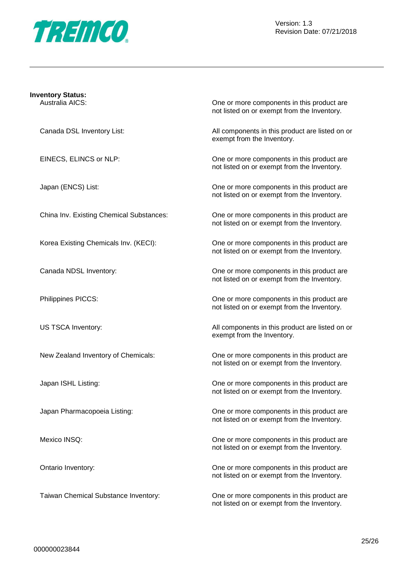

|  |   | <b>Inventory Status:</b> |  |
|--|---|--------------------------|--|
|  | . | $\cdots$                 |  |

Australia AICS: One or more components in this product are not listed on or exempt from the Inventory.

Canada DSL Inventory List: All components in this product are listed on or exempt from the Inventory.

EINECS, ELINCS or NLP: One or more components in this product are not listed on or exempt from the Inventory.

Japan (ENCS) List: One or more components in this product are not listed on or exempt from the Inventory.

China Inv. Existing Chemical Substances: One or more components in this product are not listed on or exempt from the Inventory.

Korea Existing Chemicals Inv. (KECI): One or more components in this product are not listed on or exempt from the Inventory.

Canada NDSL Inventory: One or more components in this product are not listed on or exempt from the Inventory.

Philippines PICCS: One or more components in this product are not listed on or exempt from the Inventory.

US TSCA Inventory: All components in this product are listed on or exempt from the Inventory.

New Zealand Inventory of Chemicals: One or more components in this product are not listed on or exempt from the Inventory.

Japan ISHL Listing: One or more components in this product are not listed on or exempt from the Inventory.

Japan Pharmacopoeia Listing: One or more components in this product are not listed on or exempt from the Inventory.

Mexico INSQ: Conservation of the original components in this product are more components in this product are not listed on or exempt from the Inventory.

Ontario Inventory: One or more components in this product are not listed on or exempt from the Inventory.

Taiwan Chemical Substance Inventory: One or more components in this product are not listed on or exempt from the Inventory.